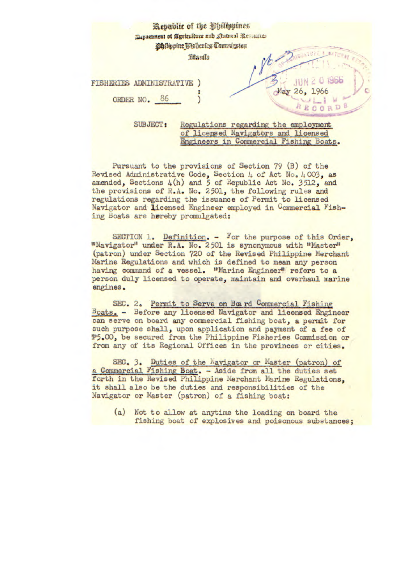|                                   | Republic of the Obilippines<br>Department of Agriculture and Statural Resources<br>Philippine Fisheries Commicsion |                                                                             |
|-----------------------------------|--------------------------------------------------------------------------------------------------------------------|-----------------------------------------------------------------------------|
| <b>FISHERIES ADMINISTRATIVE )</b> | <b>Handla</b>                                                                                                      | JUN 2 0 1966                                                                |
| ORDER NO. 86                      |                                                                                                                    | 26, 1966<br>RDB                                                             |
| <b>SUBJECT:</b>                   |                                                                                                                    | Regulations regarding the employment<br>of licensed Navigators and licensed |

Engineers in Commercial Fishing Boats.

Pursuant to the provisions of Section 79 (B) of the Revised Administrative Code, Section 4 of Act No. 4003, as amended, Sections  $4(h)$  and  $5$  of Republic Act No. 3512, and the provisions of R.A. No. 2501, the following rules and regulations regarding the issuance of Permit to licensed Navigator and licensed Engineer employed in Commercial Fish-

ing Boats are hereby promulgated:

SECTION 1. Definition. - For the purpose of this Order, "Navigator" under R.A. No. 2501 is synonymous with "Master" (patron) under Section 720 of the Revised Philippine Merchant Marine Regulations and which is defined to mean any person having command of a vessel. "Marine Engineer" refers to a person duly licensed to operate, maintain and overhaul marine engines.

SEC. 2. Permit to Serve on Board Commercial Fishing Boats. - Before any licensed Navigator and licensed Engineer can serve on board any commercial fishing boat, a permit for such purpose shall, upon application and payment of a fee of 5.00, be secured from the Philippine Fisheries Commission or from any of its Regional Offices in the provinces or cities.

SEC. 3. Duties of the Navigator or Master (patron) of a Commercial Fishing Boat. - Aside from all the duties set forth in the Revised Philippine Merchant Marine Regulations. it shall also be the duties and responsibilities of the Navigator or Master (patron) of a fishing boat:

(a) Not to allow at anytime the loading on board the fishing boat of explosives and poisonous substances;